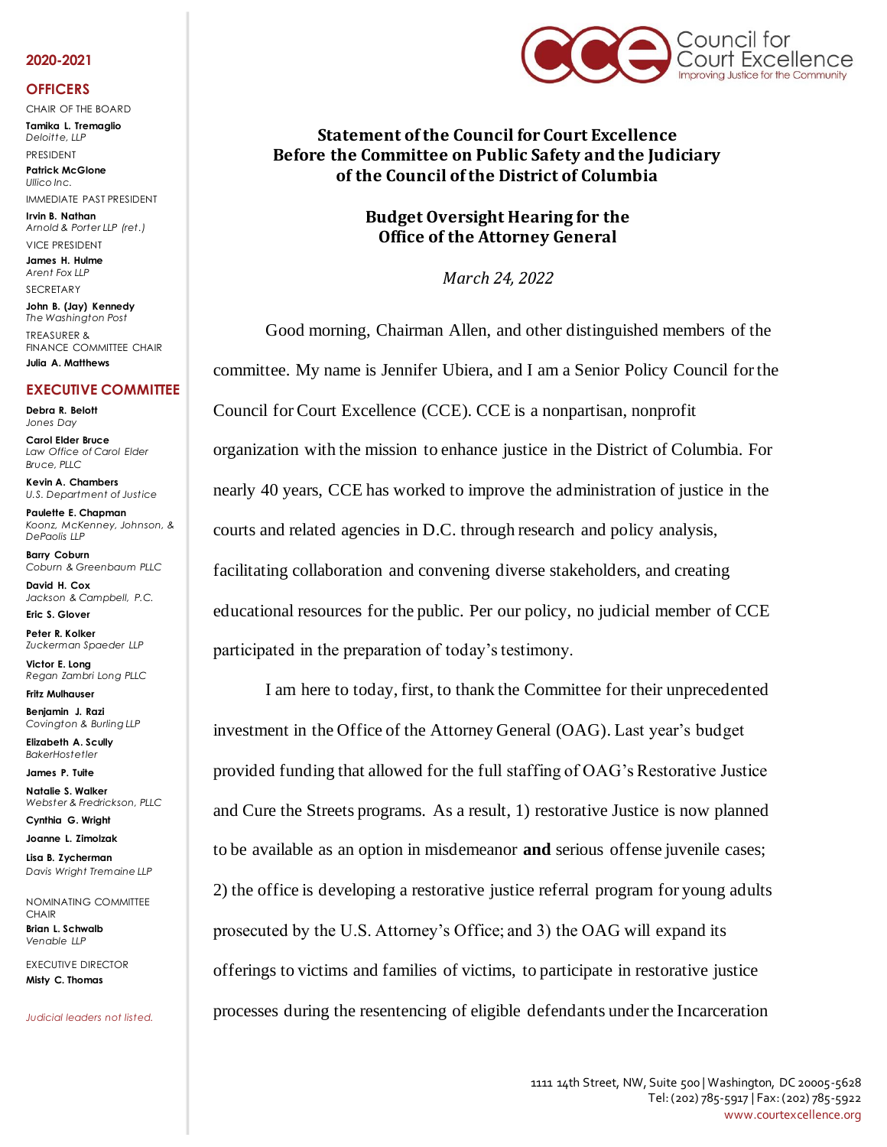#### **2020-2021**

#### **OFFICERS**

CHAIR OF THE BOARD **Tamika L. Tremaglio**

*Deloitte, LLP* PRESIDENT

**Patrick McGlone** *Ullico Inc.* 

IMMEDIATE PAST PRESIDENT **Irvin B. Nathan**

*Arnold & Porter LLP (ret.)*  VICE PRESIDENT

**James H. Hulme** *Arent Fox LLP* SECRETARY

**John B. (Jay) Kennedy** *The Washington Post* TREASURER & FINANCE COMMITTEE CHAIR **Julia A. Matthews**

# **EXECUTIVE COMMITTEE**

**Debra R. Belott** *Jones Day*

**Carol Elder Bruce** *Law Office of Carol Elder Bruce, PLLC*

**Kevin A. Chambers** *U.S. Department of Justice*

**Paulette E. Chapman** *Koonz, McKenney, Johnson, & DePaolis LLP*

**Barry Coburn** *Coburn & Greenbaum PLLC*

**David H. Cox** *Jackson & Campbell, P.C.*

**Eric S. Glover Peter R. Kolker** *Zuckerman Spaeder LLP*

**Victor E. Long** *Regan Zambri Long PLLC*

**Fritz Mulhauser Benjamin J. Razi** *Covington & Burling LLP*

**Elizabeth A. Scully** *BakerHostetler*

**James P. Tuite**

**Natalie S. Walker** *Webster & Fredrickson, PLLC*

**Cynthia G. Wright**

**Joanne L. Zimolzak Lisa B. Zycherman**

*Davis Wright Tremaine LLP* NOMINATING COMMITTEE

**CHAIR Brian L. Schwalb** *Venable LLP*

EXECUTIVE DIRECTOR **Misty C. Thomas** 

*Judicial leaders not listed.*



**Statement of the Council for Court Excellence Before the Committee on Public Safety and the Judiciary of the Council of the District of Columbia**

## **Budget Oversight Hearing for the Office of the Attorney General**

*March 24, 2022*

Good morning, Chairman Allen, and other distinguished members of the committee. My name is Jennifer Ubiera, and I am a Senior Policy Council for the Council for Court Excellence (CCE). CCE is a nonpartisan, nonprofit organization with the mission to enhance justice in the District of Columbia. For nearly 40 years, CCE has worked to improve the administration of justice in the courts and related agencies in D.C. through research and policy analysis, facilitating collaboration and convening diverse stakeholders, and creating educational resources for the public. Per our policy, no judicial member of CCE participated in the preparation of today's testimony.

I am here to today, first, to thank the Committee for their unprecedented investment in the Office of the Attorney General (OAG). Last year's budget provided funding that allowed for the full staffing of OAG's Restorative Justice and Cure the Streets programs. As a result, 1) restorative Justice is now planned to be available as an option in misdemeanor **and** serious offense juvenile cases; 2) the office is developing a restorative justice referral program for young adults prosecuted by the U.S. Attorney's Office; and 3) the OAG will expand its offerings to victims and families of victims, to participate in restorative justice processes during the resentencing of eligible defendants under the Incarceration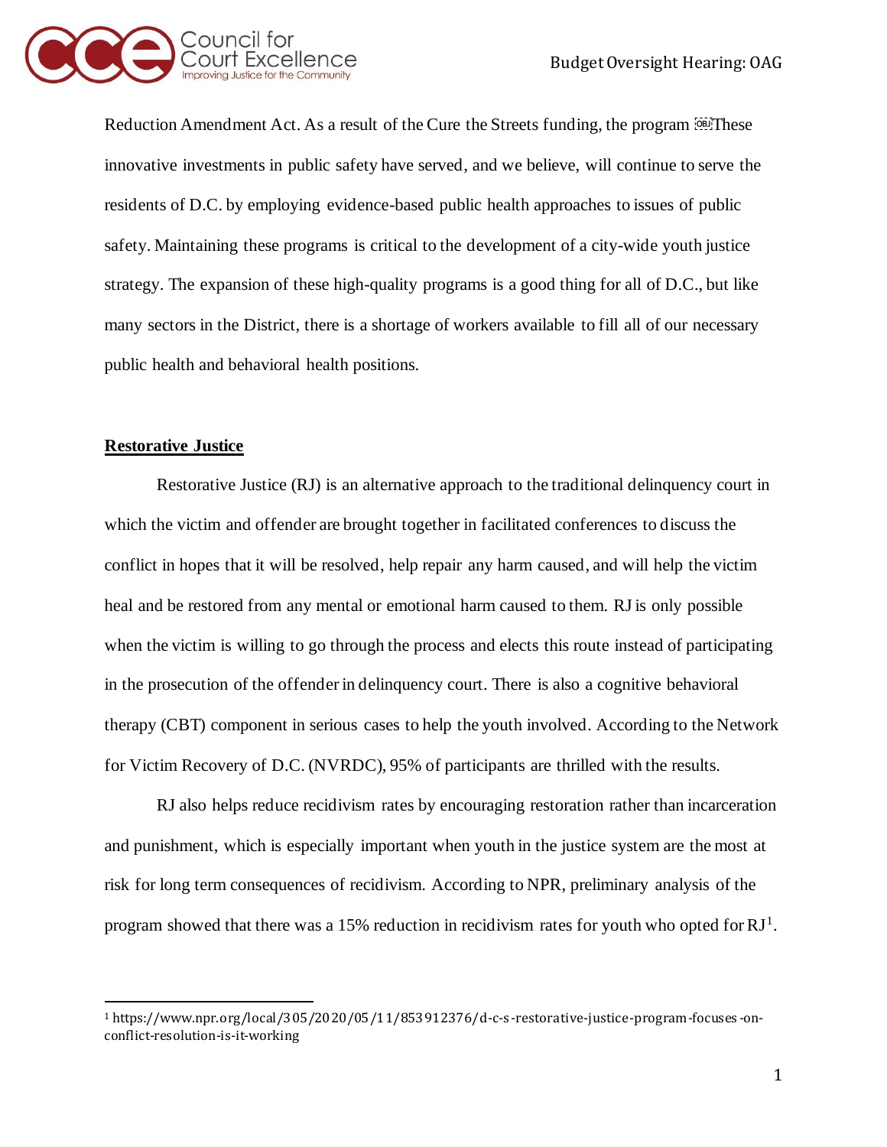

Reduction Amendment Act. As a result of the Cure the Streets funding, the program  $\overline{\mathbb{S}^{2}}$ . These innovative investments in public safety have served, and we believe, will continue to serve the residents of D.C. by employing evidence-based public health approaches to issues of public safety. Maintaining these programs is critical to the development of a city-wide youth justice strategy. The expansion of these high-quality programs is a good thing for all of D.C., but like many sectors in the District, there is a shortage of workers available to fill all of our necessary public health and behavioral health positions.

# **Restorative Justice**

Restorative Justice (RJ) is an alternative approach to the traditional delinquency court in which the victim and offender are brought together in facilitated conferences to discuss the conflict in hopes that it will be resolved, help repair any harm caused, and will help the victim heal and be restored from any mental or emotional harm caused to them. RJ is only possible when the victim is willing to go through the process and elects this route instead of participating in the prosecution of the offender in delinquency court. There is also a cognitive behavioral therapy (CBT) component in serious cases to help the youth involved. According to the Network for Victim Recovery of D.C. (NVRDC), 95% of participants are thrilled with the results.

RJ also helps reduce recidivism rates by encouraging restoration rather than incarceration and punishment, which is especially important when youth in the justice system are the most at risk for long term consequences of recidivism. According to NPR, preliminary analysis of the program showed that there was a 15% reduction in recidivism rates for youth who opted for  $RJ<sup>1</sup>$ .

<sup>1</sup> https://www.npr.org/local/305/2020/05/11/853912376/d-c-s -restorative-justice-program-focuses -onconflict-resolution-is-it-working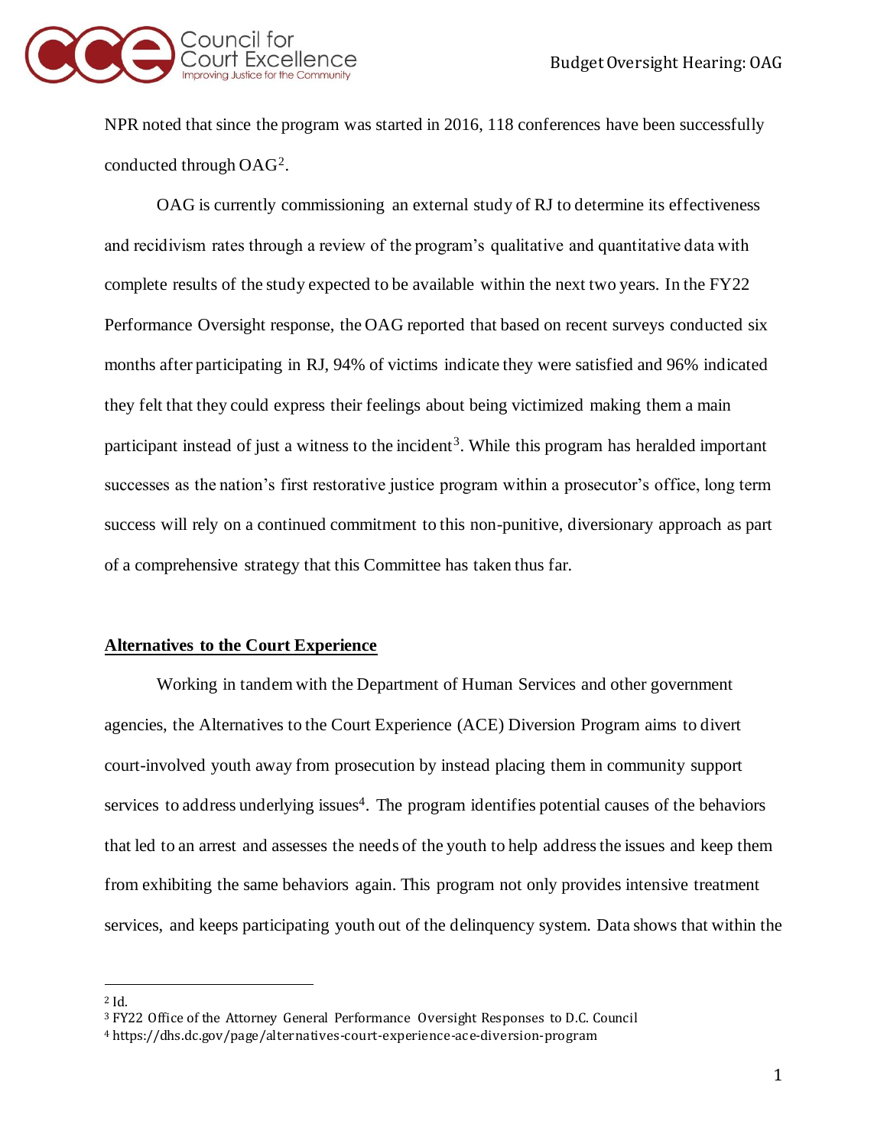

NPR noted that since the program was started in 2016, 118 conferences have been successfully conducted through OAG<sup>2</sup> .

OAG is currently commissioning an external study of RJ to determine its effectiveness and recidivism rates through a review of the program's qualitative and quantitative data with complete results of the study expected to be available within the next two years. In the FY22 Performance Oversight response, the OAG reported that based on recent surveys conducted six months after participating in RJ, 94% of victims indicate they were satisfied and 96% indicated they felt that they could express their feelings about being victimized making them a main participant instead of just a witness to the incident<sup>3</sup>. While this program has heralded important successes as the nation's first restorative justice program within a prosecutor's office, long term success will rely on a continued commitment to this non-punitive, diversionary approach as part of a comprehensive strategy that this Committee has taken thus far.

# **Alternatives to the Court Experience**

Working in tandem with the Department of Human Services and other government agencies, the Alternatives to the Court Experience (ACE) Diversion Program aims to divert court-involved youth away from prosecution by instead placing them in community support services to address underlying issues<sup>4</sup>. The program identifies potential causes of the behaviors that led to an arrest and assesses the needs of the youth to help address the issues and keep them from exhibiting the same behaviors again. This program not only provides intensive treatment services, and keeps participating youth out of the delinquency system. Data shows that within the

<sup>2</sup> Id.

<sup>3</sup> FY22 Office of the Attorney General Performance Oversight Responses to D.C. Council

<sup>4</sup> https://dhs.dc.gov/page/alternatives-court-experience-ace-diversion-program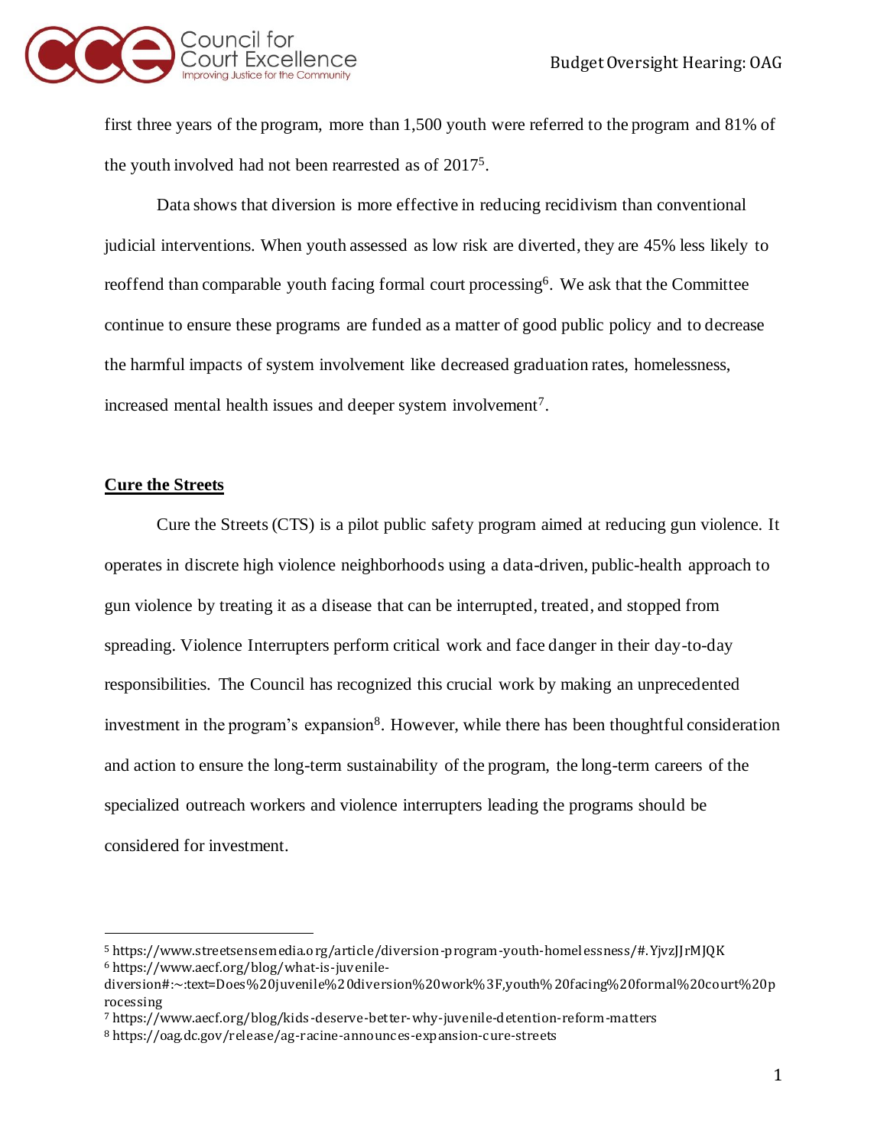

first three years of the program, more than 1,500 youth were referred to the program and 81% of the youth involved had not been rearrested as of 2017<sup>5</sup> .

Data shows that diversion is more effective in reducing recidivism than conventional judicial interventions. When youth assessed as low risk are diverted, they are 45% less likely to reoffend than comparable youth facing formal court processing<sup>6</sup>. We ask that the Committee continue to ensure these programs are funded as a matter of good public policy and to decrease the harmful impacts of system involvement like decreased graduation rates, homelessness, increased mental health issues and deeper system involvement<sup>7</sup>.

#### **Cure the Streets**

Cure the Streets(CTS) is a pilot public safety program aimed at reducing gun violence. It operates in discrete high violence neighborhoods using a data-driven, public-health approach to gun violence by treating it as a disease that can be interrupted, treated, and stopped from spreading. Violence Interrupters perform critical work and face danger in their day-to-day responsibilities. The Council has recognized this crucial work by making an unprecedented investment in the program's expansion<sup>8</sup>. However, while there has been thoughtful consideration and action to ensure the long-term sustainability of the program, the long-term careers of the specialized outreach workers and violence interrupters leading the programs should be considered for investment.

<sup>5</sup> https://www.streetsensemedia.org/article/diversion-program-youth-homel essness/#.YjvzJJrMJQK <sup>6</sup> https://www.aecf.org/blog/what-is-juv enile-

diversion#:~:text=Does%20juvenile%20diversion%20work%3F,youth% 20facing%20formal%20court%20p rocessing

<sup>7</sup> https://www.aecf.org/blog/kids -deserve-better-why-juvenile-detention-reform-matters

<sup>8</sup> https://oag.dc.gov/release/ag-racine-announces-expansion-cure-streets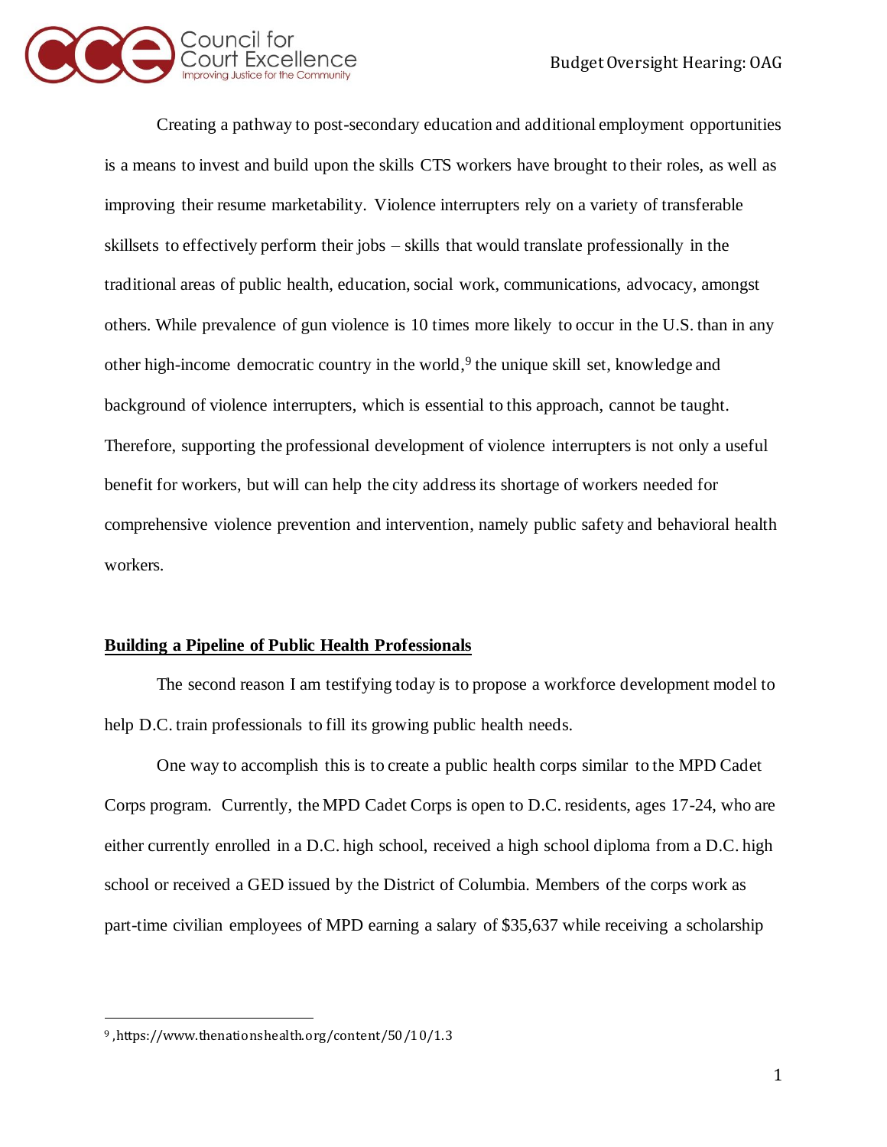

Creating a pathway to post-secondary education and additional employment opportunities is a means to invest and build upon the skills CTS workers have brought to their roles, as well as improving their resume marketability. Violence interrupters rely on a variety of transferable skillsets to effectively perform their jobs – skills that would translate professionally in the traditional areas of public health, education, social work, communications, advocacy, amongst others. While prevalence of gun violence is 10 times more likely to occur in the U.S. than in any other high-income democratic country in the world,<sup>9</sup> the unique skill set, knowledge and background of violence interrupters, which is essential to this approach, cannot be taught. Therefore, supporting the professional development of violence interrupters is not only a useful benefit for workers, but will can help the city address its shortage of workers needed for comprehensive violence prevention and intervention, namely public safety and behavioral health workers.

# **Building a Pipeline of Public Health Professionals**

The second reason I am testifying today is to propose a workforce development model to help D.C. train professionals to fill its growing public health needs.

One way to accomplish this is to create a public health corps similar to the MPD Cadet Corps program. Currently, the MPD Cadet Corps is open to D.C. residents, ages 17-24, who are either currently enrolled in a D.C. high school, received a high school diploma from a D.C. high school or received a GED issued by the District of Columbia. Members of the corps work as part-time civilian employees of MPD earning a salary of \$35,637 while receiving a scholarship

<sup>9</sup> ,https://www.thenationshealth.org/content/50/10/1.3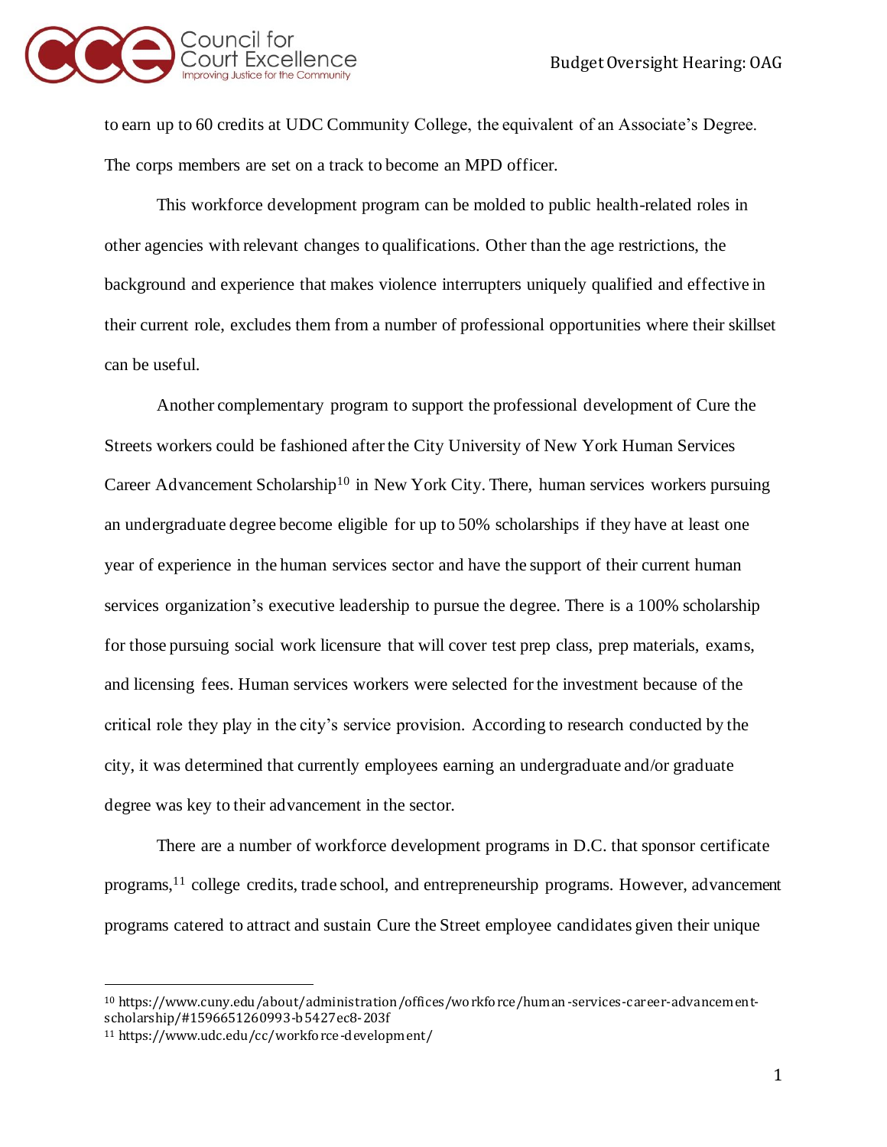

to earn up to 60 credits at UDC Community College, the equivalent of an Associate's Degree. The corps members are set on a track to become an MPD officer.

This workforce development program can be molded to public health-related roles in other agencies with relevant changes to qualifications. Other than the age restrictions, the background and experience that makes violence interrupters uniquely qualified and effective in their current role, excludes them from a number of professional opportunities where their skillset can be useful.

Another complementary program to support the professional development of Cure the Streets workers could be fashioned after the City University of New York Human Services Career Advancement Scholarship<sup>10</sup> in New York City. There, human services workers pursuing an undergraduate degree become eligible for up to 50% scholarships if they have at least one year of experience in the human services sector and have the support of their current human services organization's executive leadership to pursue the degree. There is a 100% scholarship for those pursuing social work licensure that will cover test prep class, prep materials, exams, and licensing fees. Human services workers were selected for the investment because of the critical role they play in the city's service provision. According to research conducted by the city, it was determined that currently employees earning an undergraduate and/or graduate degree was key to their advancement in the sector.

There are a number of workforce development programs in D.C. that sponsor certificate programs,<sup>11</sup> college credits, trade school, and entrepreneurship programs. However, advancement programs catered to attract and sustain Cure the Street employee candidates given their unique

<sup>10</sup> https://www.cuny.edu/about/administration/offices/workforce/human-services-career-advancementscholarship/#1596651260993-b5427ec8-203f

<sup>11</sup> https://www.udc.edu/cc/workforce-development/